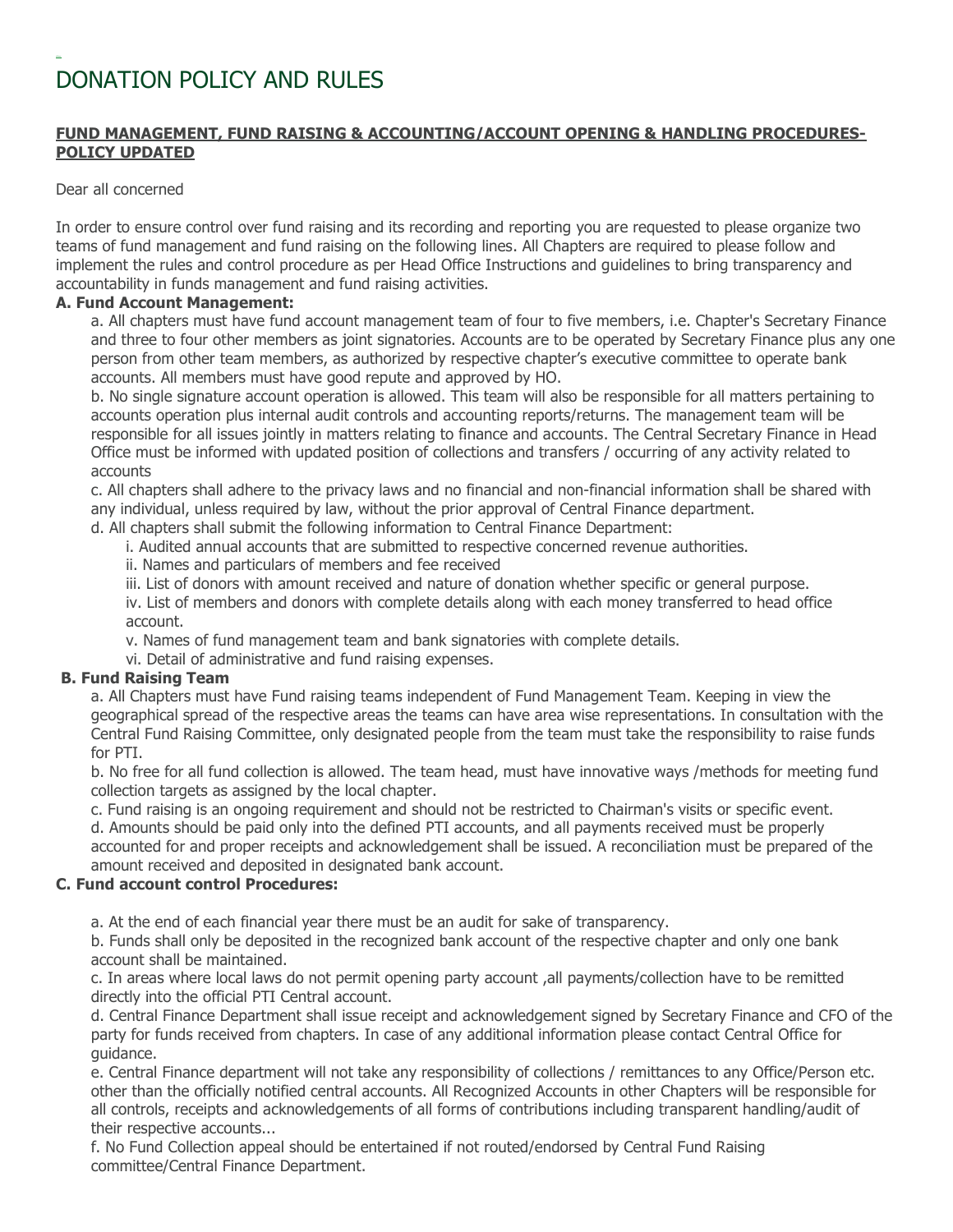# DONATION POLICY AND RULES

## FUND MANAGEMENT, FUND RAISING & ACCOUNTING/ACCOUNT OPENING & HANDLING PROCEDURES-POLICY UPDATED

Dear all concerned

In order to ensure control over fund raising and its recording and reporting you are requested to please organize two teams of fund management and fund raising on the following lines. All Chapters are required to please follow and implement the rules and control procedure as per Head Office Instructions and guidelines to bring transparency and accountability in funds management and fund raising activities.

#### A. Fund Account Management:

a. All chapters must have fund account management team of four to five members, i.e. Chapter's Secretary Finance and three to four other members as joint signatories. Accounts are to be operated by Secretary Finance plus any one person from other team members, as authorized by respective chapter's executive committee to operate bank accounts. All members must have good repute and approved by HO.

b. No single signature account operation is allowed. This team will also be responsible for all matters pertaining to accounts operation plus internal audit controls and accounting reports/returns. The management team will be responsible for all issues jointly in matters relating to finance and accounts. The Central Secretary Finance in Head Office must be informed with updated position of collections and transfers / occurring of any activity related to accounts

c. All chapters shall adhere to the privacy laws and no financial and non-financial information shall be shared with any individual, unless required by law, without the prior approval of Central Finance department.

d. All chapters shall submit the following information to Central Finance Department:

- i. Audited annual accounts that are submitted to respective concerned revenue authorities.
- ii. Names and particulars of members and fee received
- iii. List of donors with amount received and nature of donation whether specific or general purpose.
- iv. List of members and donors with complete details along with each money transferred to head office account.
- v. Names of fund management team and bank signatories with complete details.
- vi. Detail of administrative and fund raising expenses.

# B. Fund Raising Team

a. All Chapters must have Fund raising teams independent of Fund Management Team. Keeping in view the geographical spread of the respective areas the teams can have area wise representations. In consultation with the Central Fund Raising Committee, only designated people from the team must take the responsibility to raise funds for PTI.

b. No free for all fund collection is allowed. The team head, must have innovative ways /methods for meeting fund collection targets as assigned by the local chapter.

c. Fund raising is an ongoing requirement and should not be restricted to Chairman's visits or specific event.

d. Amounts should be paid only into the defined PTI accounts, and all payments received must be properly accounted for and proper receipts and acknowledgement shall be issued. A reconciliation must be prepared of the amount received and deposited in designated bank account.

#### C. Fund account control Procedures:

a. At the end of each financial year there must be an audit for sake of transparency.

b. Funds shall only be deposited in the recognized bank account of the respective chapter and only one bank account shall be maintained.

c. In areas where local laws do not permit opening party account ,all payments/collection have to be remitted directly into the official PTI Central account.

d. Central Finance Department shall issue receipt and acknowledgement signed by Secretary Finance and CFO of the party for funds received from chapters. In case of any additional information please contact Central Office for guidance.

e. Central Finance department will not take any responsibility of collections / remittances to any Office/Person etc. other than the officially notified central accounts. All Recognized Accounts in other Chapters will be responsible for all controls, receipts and acknowledgements of all forms of contributions including transparent handling/audit of their respective accounts...

f. No Fund Collection appeal should be entertained if not routed/endorsed by Central Fund Raising committee/Central Finance Department.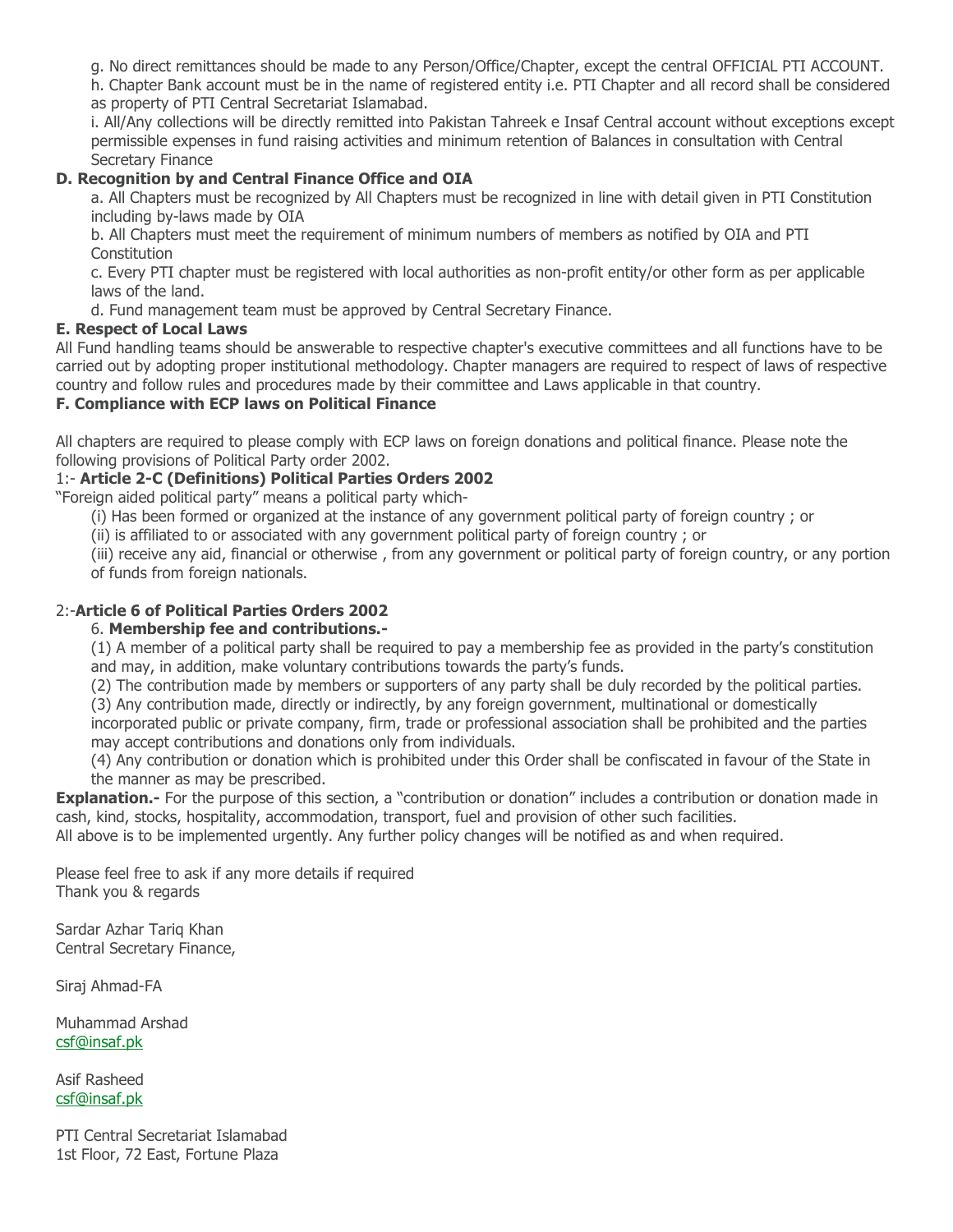g. No direct remittances should be made to any Person/Office/Chapter, except the central OFFICIAL PTI ACCOUNT.

h. Chapter Bank account must be in the name of registered entity i.e. PTI Chapter and all record shall be considered as property of PTI Central Secretariat Islamabad.

i. All/Any collections will be directly remitted into Pakistan Tahreek e Insaf Central account without exceptions except permissible expenses in fund raising activities and minimum retention of Balances in consultation with Central Secretary Finance

# D. Recognition by and Central Finance Office and OIA

a. All Chapters must be recognized by All Chapters must be recognized in line with detail given in PTI Constitution including by-laws made by OIA

b. All Chapters must meet the requirement of minimum numbers of members as notified by OIA and PTI **Constitution** 

c. Every PTI chapter must be registered with local authorities as non-profit entity/or other form as per applicable laws of the land.

d. Fund management team must be approved by Central Secretary Finance.

## E. Respect of Local Laws

All Fund handling teams should be answerable to respective chapter's executive committees and all functions have to be carried out by adopting proper institutional methodology. Chapter managers are required to respect of laws of respective country and follow rules and procedures made by their committee and Laws applicable in that country.

# F. Compliance with ECP laws on Political Finance

All chapters are required to please comply with ECP laws on foreign donations and political finance. Please note the following provisions of Political Party order 2002.

# 1:- Article 2-C (Definitions) Political Parties Orders 2002

"Foreign aided political party" means a political party which-

(i) Has been formed or organized at the instance of any government political party of foreign country ; or

(ii) is affiliated to or associated with any government political party of foreign country ; or

(iii) receive any aid, financial or otherwise , from any government or political party of foreign country, or any portion of funds from foreign nationals.

# 2:-Article 6 of Political Parties Orders 2002

# 6. Membership fee and contributions.-

(1) A member of a political party shall be required to pay a membership fee as provided in the party's constitution and may, in addition, make voluntary contributions towards the party's funds.

(2) The contribution made by members or supporters of any party shall be duly recorded by the political parties.

(3) Any contribution made, directly or indirectly, by any foreign government, multinational or domestically

incorporated public or private company, firm, trade or professional association shall be prohibited and the parties may accept contributions and donations only from individuals.

(4) Any contribution or donation which is prohibited under this Order shall be confiscated in favour of the State in the manner as may be prescribed.

**Explanation.-** For the purpose of this section, a "contribution or donation" includes a contribution or donation made in cash, kind, stocks, hospitality, accommodation, transport, fuel and provision of other such facilities.

All above is to be implemented urgently. Any further policy changes will be notified as and when required.

Please feel free to ask if any more details if required Thank you & regards

Sardar Azhar Tariq Khan Central Secretary Finance,

Siraj Ahmad-FA

Muhammad Arshad csf@insaf.pk

Asif Rasheed csf@insaf.pk

PTI Central Secretariat Islamabad 1st Floor, 72 East, Fortune Plaza